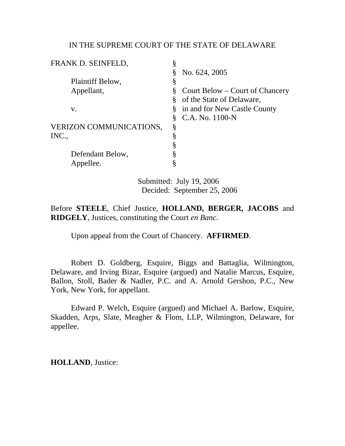### IN THE SUPREME COURT OF THE STATE OF DELAWARE

| FRANK D. SEINFELD,             | \$ |                                 |
|--------------------------------|----|---------------------------------|
|                                | Ş  | No. 624, 2005                   |
| Plaintiff Below,               | §  |                                 |
| Appellant,                     | §  | Court Below – Court of Chancery |
|                                | §  | of the State of Delaware,       |
| V.                             | §  | in and for New Castle County    |
|                                | §  | C.A. No. 1100-N                 |
| <b>VERIZON COMMUNICATIONS,</b> | §  |                                 |
| INC.,                          | §  |                                 |
|                                | §  |                                 |
| Defendant Below,               | ş  |                                 |
| Appellee.                      | §  |                                 |
|                                |    |                                 |

 Submitted: July 19, 2006 Decided: September 25, 2006

Before **STEELE**, Chief Justice, **HOLLAND, BERGER, JACOBS** and **RIDGELY**, Justices, constituting the Court *en Banc*.

Upon appeal from the Court of Chancery. **AFFIRMED**.

Robert D. Goldberg, Esquire, Biggs and Battaglia, Wilmington, Delaware, and Irving Bizar, Esquire (argued) and Natalie Marcus, Esquire, Ballon, Stoll, Bader & Nadler, P.C. and A. Arnold Gershon, P.C., New York, New York, for appellant.

Edward P. Welch, Esquire (argued) and Michael A. Barlow, Esquire, Skadden, Arps, Slate, Meagher & Flom, LLP, Wilmington, Delaware, for appellee.

**HOLLAND**, Justice: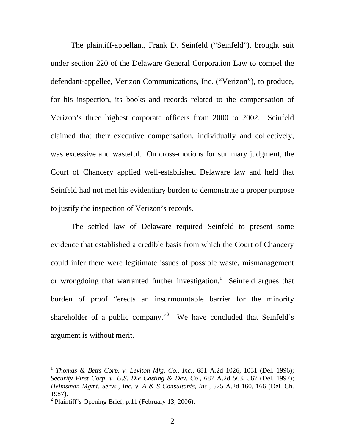The plaintiff-appellant, Frank D. Seinfeld ("Seinfeld"), brought suit under section 220 of the Delaware General Corporation Law to compel the defendant-appellee, Verizon Communications, Inc. ("Verizon"), to produce, for his inspection, its books and records related to the compensation of Verizon's three highest corporate officers from 2000 to 2002. Seinfeld claimed that their executive compensation, individually and collectively, was excessive and wasteful. On cross-motions for summary judgment, the Court of Chancery applied well-established Delaware law and held that Seinfeld had not met his evidentiary burden to demonstrate a proper purpose to justify the inspection of Verizon's records.

The settled law of Delaware required Seinfeld to present some evidence that established a credible basis from which the Court of Chancery could infer there were legitimate issues of possible waste, mismanagement or wrongdoing that warranted further investigation.<sup>1</sup> Seinfeld argues that burden of proof "erects an insurmountable barrier for the minority shareholder of a public company."<sup>2</sup> We have concluded that Seinfeld's argument is without merit.

<sup>1</sup> *Thomas & Betts Corp. v. Leviton Mfg. Co., Inc.*, 681 A.2d 1026, 1031 (Del. 1996); *Security First Corp. v. U.S. Die Casting & Dev. Co*., 687 A.2d 563, 567 (Del. 1997); *Helmsman Mgmt. Servs., Inc. v. A & S Consultants, Inc.,* 525 A.2d 160, 166 (Del. Ch. 1987).

<sup>&</sup>lt;sup>2</sup> Plaintiff's Opening Brief, p.11 (February 13, 2006).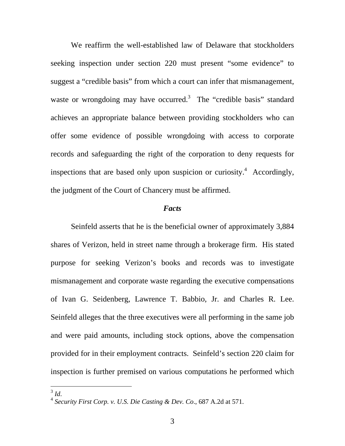We reaffirm the well-established law of Delaware that stockholders seeking inspection under section 220 must present "some evidence" to suggest a "credible basis" from which a court can infer that mismanagement, waste or wrongdoing may have occurred.<sup>3</sup> The "credible basis" standard achieves an appropriate balance between providing stockholders who can offer some evidence of possible wrongdoing with access to corporate records and safeguarding the right of the corporation to deny requests for inspections that are based only upon suspicion or curiosity.<sup>4</sup> Accordingly, the judgment of the Court of Chancery must be affirmed.

#### *Facts*

Seinfeld asserts that he is the beneficial owner of approximately 3,884 shares of Verizon, held in street name through a brokerage firm. His stated purpose for seeking Verizon's books and records was to investigate mismanagement and corporate waste regarding the executive compensations of Ivan G. Seidenberg, Lawrence T. Babbio, Jr. and Charles R. Lee. Seinfeld alleges that the three executives were all performing in the same job and were paid amounts, including stock options, above the compensation provided for in their employment contracts. Seinfeld's section 220 claim for inspection is further premised on various computations he performed which

<sup>3</sup> *Id*. 4 *Security First Corp. v. U.S. Die Casting & Dev. Co*., 687 A.2d at 571.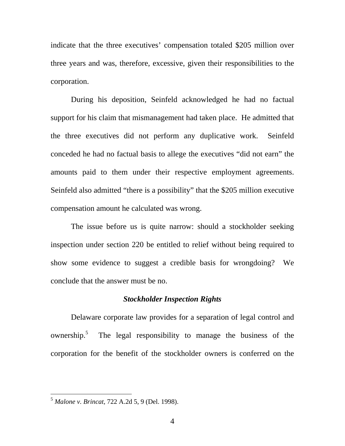indicate that the three executives' compensation totaled \$205 million over three years and was, therefore, excessive, given their responsibilities to the corporation.

During his deposition, Seinfeld acknowledged he had no factual support for his claim that mismanagement had taken place. He admitted that the three executives did not perform any duplicative work. Seinfeld conceded he had no factual basis to allege the executives "did not earn" the amounts paid to them under their respective employment agreements. Seinfeld also admitted "there is a possibility" that the \$205 million executive compensation amount he calculated was wrong.

The issue before us is quite narrow: should a stockholder seeking inspection under section 220 be entitled to relief without being required to show some evidence to suggest a credible basis for wrongdoing? We conclude that the answer must be no.

# *Stockholder Inspection Rights*

 Delaware corporate law provides for a separation of legal control and ownership.<sup>5</sup> The legal responsibility to manage the business of the corporation for the benefit of the stockholder owners is conferred on the

<sup>5</sup> *Malone v. Brincat*, 722 A.2d 5, 9 (Del. 1998).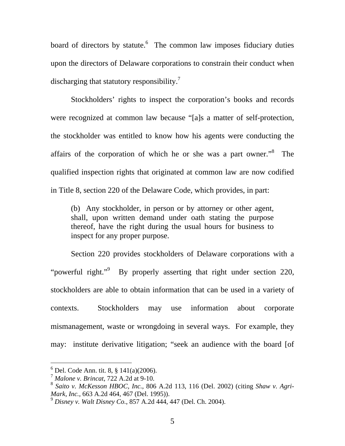board of directors by statute.<sup>6</sup> The common law imposes fiduciary duties upon the directors of Delaware corporations to constrain their conduct when discharging that statutory responsibility.<sup>7</sup>

 Stockholders' rights to inspect the corporation's books and records were recognized at common law because "[a]s a matter of self-protection, the stockholder was entitled to know how his agents were conducting the affairs of the corporation of which he or she was a part owner."<sup>8</sup> The qualified inspection rights that originated at common law are now codified in Title 8, section 220 of the Delaware Code, which provides, in part:

(b) Any stockholder, in person or by attorney or other agent, shall, upon written demand under oath stating the purpose thereof, have the right during the usual hours for business to inspect for any proper purpose.

Section 220 provides stockholders of Delaware corporations with a "powerful right."<sup>9</sup> By properly asserting that right under section 220, stockholders are able to obtain information that can be used in a variety of contexts. Stockholders may use information about corporate mismanagement, waste or wrongdoing in several ways. For example, they may: institute derivative litigation; "seek an audience with the board [of

<sup>6</sup> Del. Code Ann. tit. 8, § 141(a)(2006).

<sup>7</sup> *Malone v. Brincat*, 722 A.2d at 9-10.

<sup>8</sup> *Saito v. McKesson HBOC, Inc.*, 806 A.2d 113, 116 (Del. 2002) (citing *Shaw v. Agri-Mark, Inc.*, 663 A.2d 464, 467 (Del. 1995)).

<sup>9</sup> *Disney v. Walt Disney Co.*, 857 A.2d 444, 447 (Del. Ch. 2004).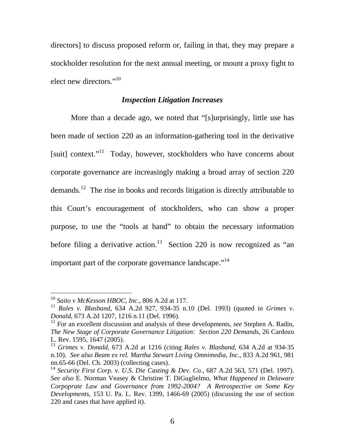directors] to discuss proposed reform or, failing in that, they may prepare a stockholder resolution for the next annual meeting, or mount a proxy fight to elect new directors."<sup>10</sup>

# *Inspection Litigation Increases*

 More than a decade ago, we noted that "[s]urprisingly, little use has been made of section 220 as an information-gathering tool in the derivative [suit] context."<sup>11</sup> Today, however, stockholders who have concerns about corporate governance are increasingly making a broad array of section 220 demands.<sup>12</sup> The rise in books and records litigation is directly attributable to this Court's encouragement of stockholders, who can show a proper purpose, to use the "tools at hand" to obtain the necessary information before filing a derivative action.<sup>13</sup> Section 220 is now recognized as "an important part of the corporate governance landscape."<sup>14</sup>

<sup>10</sup> *Saito v McKesson HBOC, Inc.*, 806 A.2d at 117.

<sup>11</sup> *Rales v. Blasband*, 634 A.2d 927, 934-35 n.10 (Del. 1993) (quoted in *Grimes v. Donald*, 673 A.2d 1207, 1216 n.11 (Del. 1996).

<sup>12</sup> For an excellent discussion and analysis of these developments, *see* Stephen A. Radin, *The New Stage of Corporate Governance Litigation: Section 220 Demands*, 26 Cardozo L. Rev. 1595, 1647 (2005).

<sup>13</sup> *Grimes v. Donald*, 673 A.2d at 1216 (citing *Rales v. Blasband*, 634 A.2d at 934-35 n.10). *See also Beam ex rel. Martha Stewart Living Omnimedia, Inc.*, 833 A.2d 961, 981 nn.65-66 (Del. Ch. 2003) (collecting cases).

<sup>14</sup> *Security First Corp. v. U.S. Die Casting & Dev. Co.*, 687 A.2d 563, 571 (Del. 1997). *See also* E. Norman Veasey & Christine T. DiGuglielmo, *What Happened in Delaware Corpoprate Law and Governance from 1992-2004? A Retrospective on Some Key Developments*, 153 U. Pa. L. Rev. 1399, 1466-69 (2005) (discussing the use of section 220 and cases that have applied it).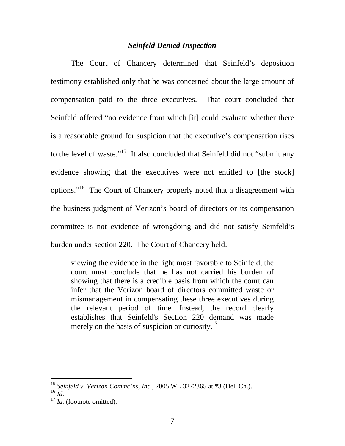# *Seinfeld Denied Inspection*

 The Court of Chancery determined that Seinfeld's deposition testimony established only that he was concerned about the large amount of compensation paid to the three executives. That court concluded that Seinfeld offered "no evidence from which [it] could evaluate whether there is a reasonable ground for suspicion that the executive's compensation rises to the level of waste."<sup>15</sup> It also concluded that Seinfeld did not "submit any evidence showing that the executives were not entitled to [the stock] options."16 The Court of Chancery properly noted that a disagreement with the business judgment of Verizon's board of directors or its compensation committee is not evidence of wrongdoing and did not satisfy Seinfeld's burden under section 220. The Court of Chancery held:

viewing the evidence in the light most favorable to Seinfeld, the court must conclude that he has not carried his burden of showing that there is a credible basis from which the court can infer that the Verizon board of directors committed waste or mismanagement in compensating these three executives during the relevant period of time. Instead, the record clearly establishes that Seinfeld's Section 220 demand was made merely on the basis of suspicion or curiosity.<sup>17</sup>

<sup>15</sup> *Seinfeld v. Verizon Commc'ns, Inc.*, 2005 WL 3272365 at \*3 (Del. Ch.).

<sup>16</sup> *Id.* 

<sup>&</sup>lt;sup>17</sup> *Id.* (footnote omitted).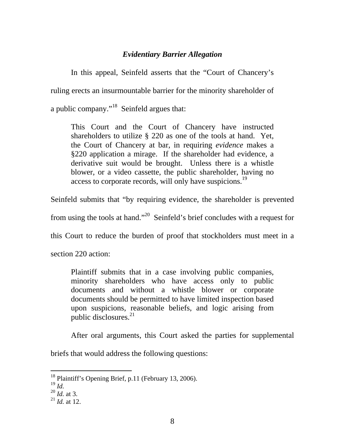# *Evidentiary Barrier Allegation*

In this appeal, Seinfeld asserts that the "Court of Chancery's ruling erects an insurmountable barrier for the minority shareholder of a public company."18 Seinfeld argues that:

This Court and the Court of Chancery have instructed shareholders to utilize § 220 as one of the tools at hand. Yet, the Court of Chancery at bar, in requiring *evidence* makes a §220 application a mirage. If the shareholder had evidence, a derivative suit would be brought. Unless there is a whistle blower, or a video cassette, the public shareholder, having no access to corporate records, will only have suspicions.<sup>19</sup>

Seinfeld submits that "by requiring evidence, the shareholder is prevented

from using the tools at hand."<sup>20</sup> Seinfeld's brief concludes with a request for

this Court to reduce the burden of proof that stockholders must meet in a

section 220 action:

Plaintiff submits that in a case involving public companies, minority shareholders who have access only to public documents and without a whistle blower or corporate documents should be permitted to have limited inspection based upon suspicions, reasonable beliefs, and logic arising from public disclosures.<sup>21</sup>

After oral arguments, this Court asked the parties for supplemental

briefs that would address the following questions:

<sup>&</sup>lt;sup>18</sup> Plaintiff's Opening Brief, p.11 (February 13, 2006).<br><sup>19</sup> Id.

 $^{20}$  *Id.* at 3.

 $^{21}$  *Id.* at 12.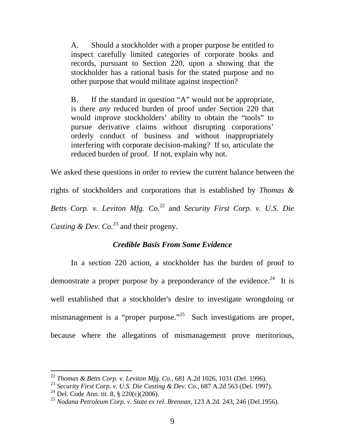A. Should a stockholder with a proper purpose be entitled to inspect carefully limited categories of corporate books and records, pursuant to Section 220, upon a showing that the stockholder has a rational basis for the stated purpose and no other purpose that would militate against inspection?

B. If the standard in question "A" would not be appropriate, is there *any* reduced burden of proof under Section 220 that would improve stockholders' ability to obtain the "tools" to pursue derivative claims without disrupting corporations' orderly conduct of business and without inappropriately interfering with corporate decision-making? If so, articulate the reduced burden of proof. If not, explain why not.

We asked these questions in order to review the current balance between the rights of stockholders and corporations that is established by *Thomas & Betts Corp. v. Leviton Mfg. Co.*22 and *Security First Corp. v. U.S. Die Casting & Dev. Co.*<sup>23</sup> and their progeny.

# *Credible Basis From Some Evidence*

In a section 220 action, a stockholder has the burden of proof to demonstrate a proper purpose by a preponderance of the evidence.<sup>24</sup> It is well established that a stockholder's desire to investigate wrongdoing or mismanagement is a "proper purpose."<sup>25</sup> Such investigations are proper, because where the allegations of mismanagement prove meritorious,

<sup>22</sup> *Thomas & Betts Corp. v. Leviton Mfg. Co.,* 681 A.2d 1026, 1031 (Del. 1996).

<sup>23</sup> *Security First Corp. v. U.S. Die Casting & Dev. Co*., 687 A.2d 563 (Del. 1997).

<sup>&</sup>lt;sup>24</sup> Del. Code Ann. tit. 8,  $\S$  220(c)(2006).

<sup>25</sup> *Nodana Petroleum Corp. v. State ex rel. Brennan*, 123 A.2d. 243, 246 (Del.1956).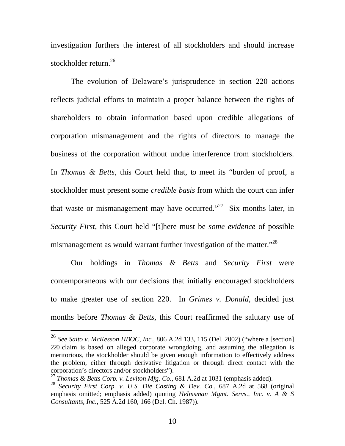investigation furthers the interest of all stockholders and should increase stockholder return.<sup>26</sup>

The evolution of Delaware's jurisprudence in section 220 actions reflects judicial efforts to maintain a proper balance between the rights of shareholders to obtain information based upon credible allegations of corporation mismanagement and the rights of directors to manage the business of the corporation without undue interference from stockholders. In *Thomas & Betts,* this Court held that, to meet its "burden of proof, a stockholder must present some *credible basis* from which the court can infer that waste or mismanagement may have occurred."<sup>27</sup> Six months later, in *Security First*, this Court held "[t]here must be *some evidence* of possible mismanagement as would warrant further investigation of the matter.<sup>"28</sup>

Our holdings in *Thomas & Betts* and *Security First* were contemporaneous with our decisions that initially encouraged stockholders to make greater use of section 220. In *Grimes v. Donald*, decided just months before *Thomas & Betts*, this Court reaffirmed the salutary use of

<sup>26</sup> *See Saito v. McKesson HBOC, Inc.,* 806 A.2d 133, 115 (Del. 2002) ("where a [section] 220 claim is based on alleged corporate wrongdoing, and assuming the allegation is meritorious*,* the stockholder should be given enough information to effectively address the problem, either through derivative litigation or through direct contact with the corporation's directors and/or stockholders").

<sup>&</sup>lt;sup>27</sup> *Thomas & Betts Corp. v. Leviton Mfg. Co.,* 681 A.2d at 1031 (emphasis added).

<sup>28</sup> *Security First Corp. v. U.S. Die Casting & Dev. Co.,* 687 A.2d at 568 (original emphasis omitted; emphasis added) quoting *Helmsman Mgmt. Servs., Inc. v. A & S Consultants, Inc.,* 525 A.2d 160, 166 (Del. Ch. 1987)).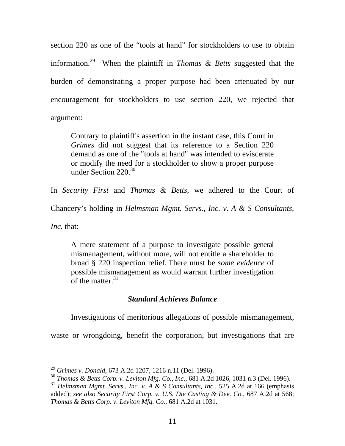section 220 as one of the "tools at hand" for stockholders to use to obtain information.29 When the plaintiff in *Thomas & Betts* suggested that the burden of demonstrating a proper purpose had been attenuated by our encouragement for stockholders to use section 220, we rejected that argument:

Contrary to plaintiff's assertion in the instant case, this Court in *Grimes* did not suggest that its reference to a Section 220 demand as one of the "tools at hand" was intended to eviscerate or modify the need for a stockholder to show a proper purpose under Section 220.<sup>30</sup>

In *Security First* and *Thomas & Betts*, we adhered to the Court of

Chancery's holding in *Helmsman Mgmt. Servs., Inc. v. A & S Consultants,* 

*Inc.* that:

-

A mere statement of a purpose to investigate possible general mismanagement, without more, will not entitle a shareholder to broad § 220 inspection relief. There must be *some evidence* of possible mismanagement as would warrant further investigation of the matter.<sup>31</sup>

# *Standard Achieves Balance*

Investigations of meritorious allegations of possible mismanagement,

waste or wrongdoing, benefit the corporation, but investigations that are

<sup>29</sup> *Grimes v. Donald,* 673 A.2d 1207, 1216 n.11 (Del. 1996).

<sup>30</sup> *Thomas & Betts Corp. v. Leviton Mfg. Co., Inc.*, 681 A.2d 1026, 1031 n.3 (Del. 1996).

<sup>&</sup>lt;sup>31</sup> *Helmsman Mgmt. Servs., Inc. v. A & S Consultants, Inc., 525 A.2d at 166 (emphasis* added); *see also Security First Corp. v. U.S. Die Casting & Dev. Co.,* 687 A.2d at 568; *Thomas & Betts Corp. v. Leviton Mfg. Co.,* 681 A.2d at 1031.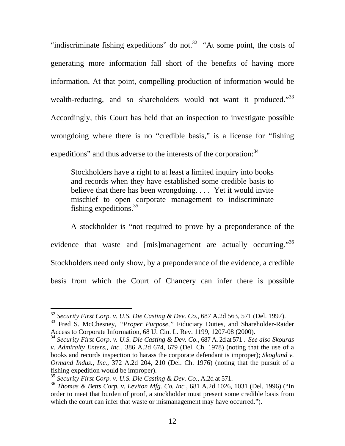"indiscriminate fishing expeditions" do not.<sup>32</sup> "At some point, the costs of generating more information fall short of the benefits of having more information. At that point, compelling production of information would be wealth-reducing, and so shareholders would not want it produced."<sup>33</sup> Accordingly, this Court has held that an inspection to investigate possible wrongdoing where there is no "credible basis," is a license for "fishing expeditions" and thus adverse to the interests of the corporation:<sup>34</sup>

Stockholders have a right to at least a limited inquiry into books and records when they have established some credible basis to believe that there has been wrongdoing. . . . Yet it would invite mischief to open corporate management to indiscriminate fishing expeditions.35

A stockholder is "not required to prove by a preponderance of the evidence that waste and [mis]management are actually occurring."<sup>36</sup> Stockholders need only show, by a preponderance of the evidence, a credible basis from which the Court of Chancery can infer there is possible

<sup>32</sup> *Security First Corp. v. U.S. Die Casting & Dev. Co.,* 687 A.2d 563, 571 (Del. 1997).

<sup>&</sup>lt;sup>33</sup> Fred S. McChesney, "Proper Purpose," Fiduciary Duties, and Shareholder-Raider Access to Corporate Information, 68 U. Cin. L. Rev. 1199, 1207-08 (2000).

<sup>34</sup> *Security First Corp. v. U.S. Die Casting & Dev. Co.,* 687 A. 2d at 571 . *See also Skouras v. Admiralty Enters., Inc.,* 386 A.2d 674, 679 (Del. Ch. 1978) (noting that the use of a books and records inspection to harass the corporate defendant is improper); *Skoglund v. Ormand Indus., Inc.,* 372 A.2d 204, 210 (Del. Ch. 1976) (noting that the pursuit of a fishing expedition would be improper).

<sup>35</sup> *Security First Corp. v. U.S. Die Casting & Dev. Co.*, A.2d at 571.

<sup>36</sup> *Thomas & Betts Corp. v. Leviton Mfg. Co. Inc.*, 681 A.2d 1026, 1031 (Del. 1996) ("In order to meet that burden of proof, a stockholder must present some credible basis from which the court can infer that waste or mismanagement may have occurred.").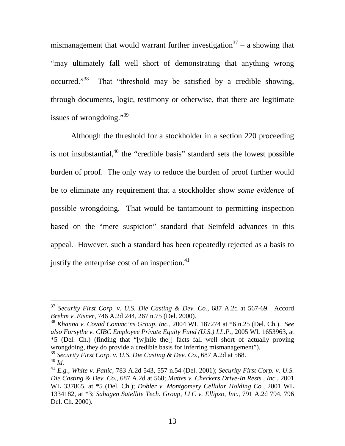mismanagement that would warrant further investigation<sup>37</sup> – a showing that "may ultimately fall well short of demonstrating that anything wrong occurred."<sup>38</sup> That "threshold may be satisfied by a credible showing, through documents, logic, testimony or otherwise, that there are legitimate issues of wrongdoing."<sup>39</sup>

Although the threshold for a stockholder in a section 220 proceeding is not insubstantial, $40$  the "credible basis" standard sets the lowest possible burden of proof. The only way to reduce the burden of proof further would be to eliminate any requirement that a stockholder show *some evidence* of possible wrongdoing. That would be tantamount to permitting inspection based on the "mere suspicion" standard that Seinfeld advances in this appeal. However, such a standard has been repeatedly rejected as a basis to justify the enterprise cost of an inspection. $41$ 

<sup>37</sup> *Security First Corp. v. U.S. Die Casting & Dev. Co.*, 687 A.2d at 567-69. Accord *Brehm v. Eisner*, 746 A.2d 244, 267 n.75 (Del. 2000).

<sup>38</sup> *Khanna v. Covad Commc'ns Group, Inc.*, 2004 WL 187274 at \*6 n.25 (Del. Ch.). *See also Forsythe v. CIBC Employee Private Equity Fund (U.S.) I.L.P.*, 2005 WL 1653963, at \*5 (Del. Ch.) (finding that "[w]hile the[] facts fall well short of actually proving wrongdoing, they do provide a credible basis for inferring mismanagement").

<sup>&</sup>lt;sup>39</sup> Security First Corp. v. U.S. Die Casting & Dev. Co., 687 A.2d at 568.

 $^{40}$   $\tilde{Id}$ .

<sup>41</sup> *E.g.*, *White v. Panic*, 783 A.2d 543, 557 n.54 (Del. 2001); *Security First Corp. v. U.S. Die Casting & Dev. Co.*, 687 A.2d at 568; *Mattes v. Checkers Drive-In Rests., Inc.*, 2001 WL 337865, at \*5 (Del. Ch.); *Dobler v. Montgomery Cellular Holding Co.*, 2001 WL 1334182, at \*3; *Sahagen Satellite Tech. Group, LLC v. Ellipso, Inc.*, 791 A.2d 794, 796 Del. Ch. 2000).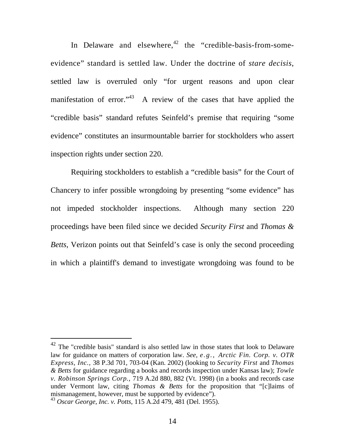In Delaware and elsewhere, $42$  the "credible-basis-from-someevidence" standard is settled law. Under the doctrine of *stare decisis*, settled law is overruled only "for urgent reasons and upon clear manifestation of error."<sup>43</sup> A review of the cases that have applied the "credible basis" standard refutes Seinfeld's premise that requiring "some evidence" constitutes an insurmountable barrier for stockholders who assert inspection rights under section 220.

Requiring stockholders to establish a "credible basis" for the Court of Chancery to infer possible wrongdoing by presenting "some evidence" has not impeded stockholder inspections. Although many section 220 proceedings have been filed since we decided *Security First* and *Thomas & Betts*, Verizon points out that Seinfeld's case is only the second proceeding in which a plaintiff's demand to investigate wrongdoing was found to be

 $42$  The "credible basis" standard is also settled law in those states that look to Delaware law for guidance on matters of corporation law. *See, e.g., Arctic Fin. Corp. v. OTR Express, Inc.,* 38 P.3d 701, 703-04 (Kan. 2002) (looking to *Security First* and *Thomas & Betts* for guidance regarding a books and records inspection under Kansas law); *Towle v. Robinson Springs Corp.,* 719 A.2d 880, 882 (Vt. 1998) (in a books and records case under Vermont law, citing *Thomas & Betts* for the proposition that "[c]laims of mismanagement, however, must be supported by evidence").

<sup>43</sup> *Oscar George, Inc. v. Potts,* 115 A.2d 479, 481 (Del. 1955).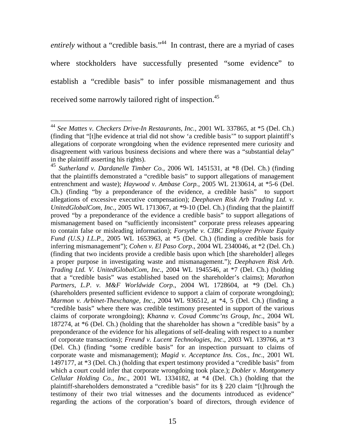entirely without a "credible basis."<sup>44</sup> In contrast, there are a myriad of cases where stockholders have successfully presented "some evidence" to establish a "credible basis" to infer possible mismanagement and thus received some narrowly tailored right of inspection.<sup>45</sup>

<sup>44</sup> *See Mattes v. Checkers Drive-In Restaurants, Inc.,* 2001 WL 337865, at \*5 (Del. Ch.) (finding that "[t]he evidence at trial did not show 'a credible basis'" to support plaintiff's allegations of corporate wrongdoing when the evidence represented mere curiosity and disagreement with various business decisions and where there was a "substantial delay" in the plaintiff asserting his rights).

<sup>45</sup> *Sutherland v. Dardanelle Timber Co.*, 2006 WL 1451531, at \*8 (Del. Ch.) (finding that the plaintiffs demonstrated a "credible basis" to support allegations of management entrenchment and waste); *Haywood v. Ambase Corp.*, 2005 WL 2130614, at \*5-6 (Del. Ch.) (finding "by a preponderance of the evidence, a credible basis" to support allegations of excessive executive compensation); *Deephaven Risk Arb Trading Ltd. v. UnitedGlobalCom, Inc.*, 2005 WL 1713067, at \*9-10 (Del. Ch.) (finding that the plaintiff proved "by a preponderance of the evidence a credible basis" to support allegations of mismanagement based on "sufficiently inconsistent" corporate press releases appearing to contain false or misleading information); *Forsythe v. CIBC Employee Private Equity Fund (U.S.) I.L.P.*, 2005 WL 1653963, at \*5 (Del. Ch.) (finding a credible basis for inferring mismanagement"); *Cohen v. El Paso Corp*., 2004 WL 2340046, at \*2 (Del. Ch.) (finding that two incidents provide a credible basis upon which [the shareholder] alleges a proper purpose in investigating waste and mismanagement."); *Deephaven Risk Arb. Trading Ltd. V. UnitedGlobalCom, Inc*., 2004 WL 1945546, at \*7 (Del. Ch.) (holding that a "credible basis" was established based on the shareholder's claims); *Marathon Partners, L.P. v. M&F Worldwide Corp*., 2004 WL 1728604, at \*9 (Del. Ch.) (shareholders presented sufficient evidence to support a claim of corporate wrongdoing); *Marmon v. Arbinet-Thexchange, Inc*., 2004 WL 936512, at \*4, 5 (Del. Ch.) (finding a "credible basis" where there was credible testimony presented in support of the various claims of corporate wrongdoing); *Khanna v. Covad Commc'ns Group, Inc*., 2004 WL 187274, at \*6 (Del. Ch.) (holding that the shareholder has shown a "credible basis" by a preponderance of the evidence for his allegations of self-dealing with respect to a number of corporate transactions); *Freund v. Lucent Technologies, Inc*., 2003 WL 139766, at \*3 (Del. Ch.) (finding "some credible basis" for an inspection pursuant to claims of corporate waste and mismanagement); *Magid v. Acceptance Ins. Cos., Inc*., 2001 WL 1497177, at \*3 (Del. Ch.) (holding that expert testimony provided a "credible basis" from which a court could infer that corporate wrongdoing took place.); *Dobler v. Montgomery Cellular Holding Co., Inc*., 2001 WL 1334182, at \*4 (Del. Ch.) (holding that the plaintiff-shareholders demonstrated a "credible basis" for its § 220 claim "[t]hrough the testimony of their two trial witnesses and the documents introduced as evidence" regarding the actions of the corporation's board of directors, through evidence of